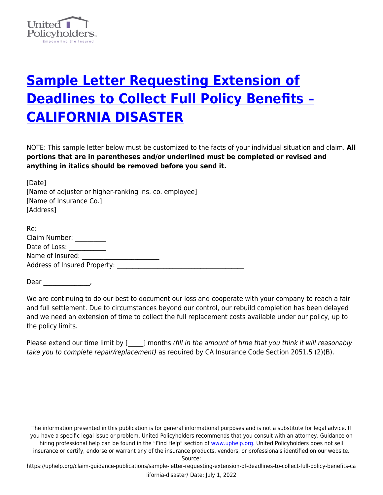

## **[Sample Letter Requesting Extension of](https://uphelp.org/claim-guidance-publications/sample-letter-requesting-extension-of-deadlines-to-collect-full-policy-benefits-california-disaster/) [Deadlines to Collect Full Policy Benefits –](https://uphelp.org/claim-guidance-publications/sample-letter-requesting-extension-of-deadlines-to-collect-full-policy-benefits-california-disaster/) [CALIFORNIA DISASTER](https://uphelp.org/claim-guidance-publications/sample-letter-requesting-extension-of-deadlines-to-collect-full-policy-benefits-california-disaster/)**

NOTE: This sample letter below must be customized to the facts of your individual situation and claim. **All portions that are in parentheses and/or underlined must be completed or revised and anything in italics should be removed before you send it.**

[Date] [Name of adjuster or higher-ranking ins. co. employee] [Name of Insurance Co.] [Address]

| Re:                                 |  |
|-------------------------------------|--|
| Claim Number:                       |  |
| Date of Loss:                       |  |
| Name of Insured:                    |  |
| <b>Address of Insured Property:</b> |  |
|                                     |  |

Dear \_\_\_\_\_\_\_\_\_\_\_\_\_\_\_,

We are continuing to do our best to document our loss and cooperate with your company to reach a fair and full settlement. Due to circumstances beyond our control, our rebuild completion has been delayed and we need an extension of time to collect the full replacement costs available under our policy, up to the policy limits.

Please extend our time limit by [ \_\_\_\_ ] months (fill in the amount of time that you think it will reasonably take you to complete repair/replacement) as required by CA Insurance Code Section 2051.5 (2)(B).

The information presented in this publication is for general informational purposes and is not a substitute for legal advice. If you have a specific legal issue or problem, United Policyholders recommends that you consult with an attorney. Guidance on hiring professional help can be found in the "Find Help" section of [www.uphelp.org.](http://www.uphelp.org/) United Policyholders does not sell insurance or certify, endorse or warrant any of the insurance products, vendors, or professionals identified on our website.

Source:

https://uphelp.org/claim-guidance-publications/sample-letter-requesting-extension-of-deadlines-to-collect-full-policy-benefits-ca lifornia-disaster/ Date: July 1, 2022